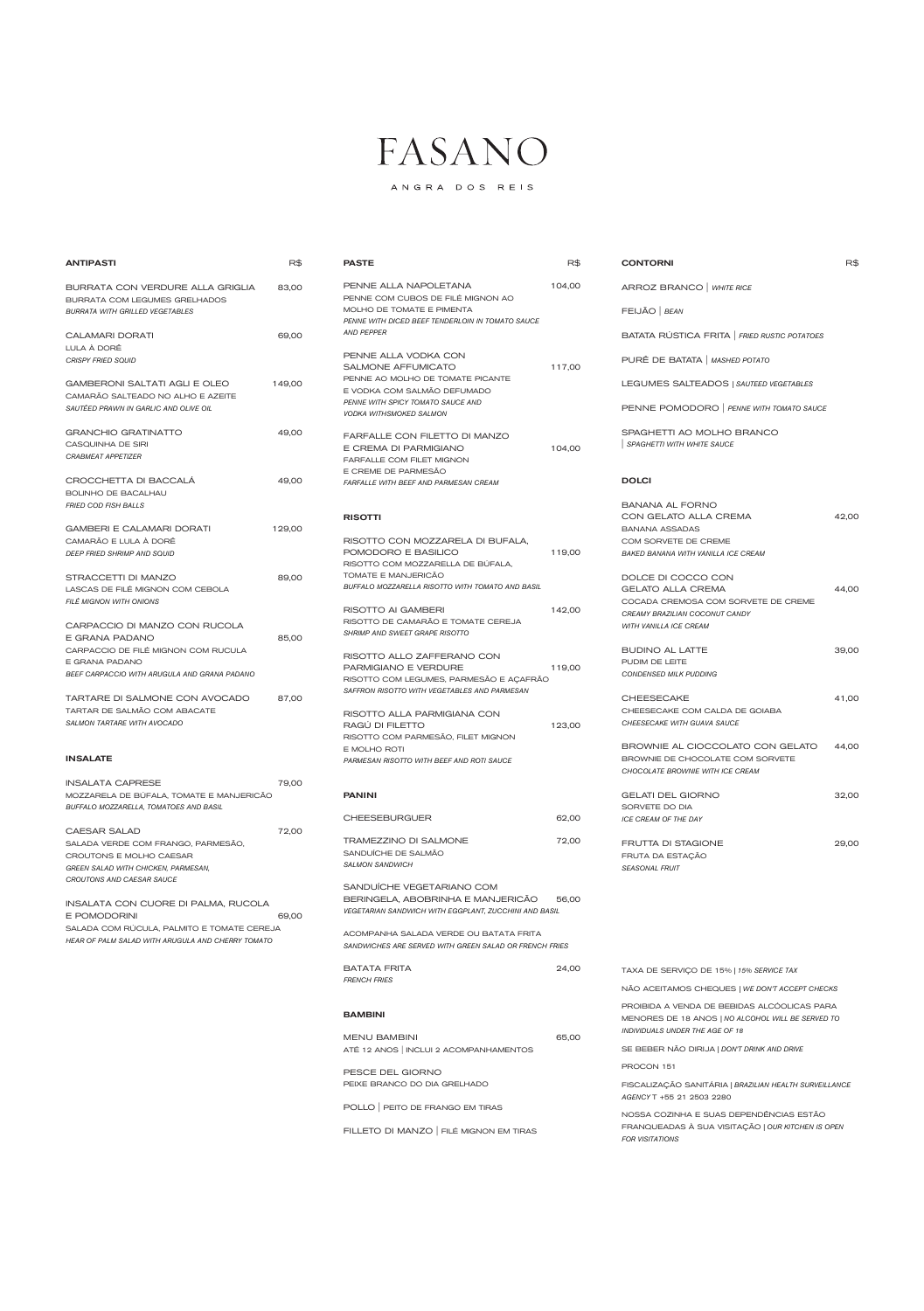ANGRA DOS REIS

*HEAR OF PALM SALAD WITH ARUGULA AND CHERRY TOMATO* 

ANTIPASTI R\$

| BURRATA CON VERDURE ALLA GRIGLIA                | 83,00  | PENNE ALLA NAPOLETANA                                                         | 104,00 |
|-------------------------------------------------|--------|-------------------------------------------------------------------------------|--------|
| BURRATA COM LEGUMES GRELHADOS                   |        | PENNE COM CUBOS DE FILÉ MIGNON AO                                             |        |
| <b>BURRATA WITH GRILLED VEGETABLES</b>          |        | MOLHO DE TOMATE E PIMENTA<br>PENNE WITH DICED BEEF TENDERLOIN IN TOMATO SAUCE |        |
| <b>CALAMARI DORATI</b>                          | 69,00  | <b>AND PEPPER</b>                                                             |        |
| LULA À DORÊ                                     |        |                                                                               |        |
| <b>CRISPY FRIED SQUID</b>                       |        | PENNE ALLA VODKA CON                                                          |        |
|                                                 |        | SALMONE AFFUMICATO                                                            | 117,00 |
| <b>GAMBERONI SALTATI AGLI E OLEO</b>            | 149,00 | PENNE AO MOLHO DE TOMATE PICANTE                                              |        |
| CAMARÃO SALTEADO NO ALHO E AZEITE               |        | E VODKA COM SALMÃO DEFUMADO<br>PENNE WITH SPICY TOMATO SAUCE AND              |        |
| SAUTÉED PRAWN IN GARLIC AND OLIVE OIL           |        | <b>VODKA WITHSMOKED SALMON</b>                                                |        |
| <b>GRANCHIO GRATINATTO</b>                      | 49,00  |                                                                               |        |
| CASQUINHA DE SIRI                               |        | FARFALLE CON FILETTO DI MANZO                                                 |        |
| <b>CRABMEAT APPETIZER</b>                       |        | E CREMA DI PARMIGIANO                                                         | 104,00 |
|                                                 |        | FARFALLE COM FILET MIGNON<br>E CREME DE PARMESÃO                              |        |
| CROCCHETTA DI BACCALA                           | 49,00  | <b>FARFALLE WITH BEEF AND PARMESAN CREAM</b>                                  |        |
| <b>BOLINHO DE BACALHAU</b>                      |        |                                                                               |        |
| <b>FRIED COD FISH BALLS</b>                     |        |                                                                               |        |
|                                                 |        | <b>RISOTTI</b>                                                                |        |
| <b>GAMBERI E CALAMARI DORATI</b>                | 129,00 |                                                                               |        |
| CAMARÃO E LULA À DORÊ                           |        | RISOTTO CON MOZZARELA DI BUFALA.                                              |        |
| DEEP FRIED SHRIMP AND SQUID                     |        | POMODORO E BASILICO                                                           | 119,00 |
|                                                 |        | RISOTTO COM MOZZARELLA DE BUFALA,                                             |        |
| STRACCETTI DI MANZO                             | 89,00  | TOMATE E MANJERICÃO<br>BUFFALO MOZZARELLA RISOTTO WITH TOMATO AND BASIL       |        |
| LASCAS DE FILÉ MIGNON COM CEBOLA                |        |                                                                               |        |
| FILÉ MIGNON WITH ONIONS                         |        | RISOTTO AI GAMBERI                                                            | 142,00 |
|                                                 |        | RISOTTO DE CAMARÃO E TOMATE CEREJA                                            |        |
| CARPACCIO DI MANZO CON RUCOLA<br>E GRANA PADANO |        | <b>SHRIMP AND SWEET GRAPE RISOTTO</b>                                         |        |
| CARPACCIO DE FILÉ MIGNON COM RUCULA             | 85,00  |                                                                               |        |
| E GRANA PADANO                                  |        | RISOTTO ALLO ZAFFERANO CON                                                    |        |
| BEEF CARPACCIO WITH ARUGULA AND GRANA PADANO    |        | PARMIGIANO E VERDURE                                                          | 119,00 |
|                                                 |        | RISOTTO COM LEGUMES, PARMESÃO E AÇAFRÃO                                       |        |
| TARTARE DI SALMONE CON AVOCADO                  | 87,00  | SAFFRON RISOTTO WITH VEGETABLES AND PARMESAN                                  |        |
| TARTAR DE SALMÃO COM ABACATE                    |        |                                                                               |        |
| SALMON TARTARE WITH AVOCADO                     |        | RISOTTO ALLA PARMIGIANA CON<br>RAGÚ DI FILETTO                                | 123,00 |
|                                                 |        | RISOTTO COM PARMESÃO, FILET MIGNON                                            |        |
|                                                 |        | E MOLHO ROTI                                                                  |        |
| <b>INSALATE</b>                                 |        | PARMESAN RISOTTO WITH BEEF AND ROTI SAUCE                                     |        |
| <b>INSALATA CAPRESE</b>                         | 79,00  |                                                                               |        |
| MOZZARELA DE BUFALA, TOMATE E MANJERICÃO        |        | <b>PANINI</b>                                                                 |        |
| BUFFALO MOZZARELLA, TOMATOES AND BASIL          |        |                                                                               |        |
|                                                 |        | <b>CHEESEBURGUER</b>                                                          | 62,00  |
| <b>CAESAR SALAD</b>                             | 72,00  |                                                                               |        |
| SALADA VERDE COM FRANGO, PARMESÃO,              |        | TRAMEZZINO DI SALMONE                                                         | 72,00  |
| CROUTONS E MOLHO CAESAR                         |        | SANDUÍCHE DE SALMÃO                                                           |        |
| GREEN SALAD WITH CHICKEN, PARMESAN,             |        | <b>SALMON SANDWICH</b>                                                        |        |
| CROUTONS AND CAESAR SAUCE                       |        |                                                                               |        |
|                                                 |        | SANDUÍCHE VEGETARIANO COM<br>BERINGELA, ABOBRINHA E MANJERICAO                | 56,00  |
| INSALATA CON CUORE DI PALMA, RUCOLA             |        | <b>VEGETARIAN SANDWICH WITH EGGPLANT, ZUCCHINI AND BASIL</b>                  |        |
| E POMODORINI                                    | 69,00  |                                                                               |        |
| SALADA COM RUCULA, PALMITO E TOMATE CEREJA      |        |                                                                               |        |

| <b>PASTE</b>                                                                  | R\$    | <b>CONTORNI</b>                                | R\$   |
|-------------------------------------------------------------------------------|--------|------------------------------------------------|-------|
| PENNE ALLA NAPOLETANA<br>PENNE COM CUBOS DE FILÉ MIGNON AO                    | 104,00 | ARROZ BRANCO   WHITE RICE                      |       |
| MOLHO DE TOMATE E PIMENTA<br>PENNE WITH DICED BEEF TENDERLOIN IN TOMATO SAUCE |        | FEIJÃO   BEAN                                  |       |
| <b>AND PEPPER</b>                                                             |        | BATATA RÚSTICA FRITA   FRIED RUSTIC POTATOES   |       |
| PENNE ALLA VODKA CON<br><b>SALMONE AFFUMICATO</b>                             | 117,00 | PURÊ DE BATATA   MASHED POTATO                 |       |
| PENNE AO MOLHO DE TOMATE PICANTE<br>E VODKA COM SALMÃO DEFUMADO               |        | LEGUMES SALTEADOS   SAUTEED VEGETABLES         |       |
| PENNE WITH SPICY TOMATO SAUCE AND<br>VODKA WITHSMOKED SALMON                  |        | PENNE POMODORO   PENNE WITH TOMATO SAUCE       |       |
| FARFALLE CON FILETTO DI MANZO                                                 |        | SPAGHETTI AO MOLHO BRANCO                      |       |
| E CREMA DI PARMIGIANO<br>FARFALLE COM FILET MIGNON                            | 104,00 | SPAGHETTI WITH WHITE SAUCE                     |       |
| E CREME DE PARMESÃO<br>FARFALLE WITH BEEF AND PARMESAN CREAM                  |        | <b>DOLCI</b>                                   |       |
|                                                                               |        | <b>BANANA AL FORNO</b>                         |       |
| <b>RISOTTI</b>                                                                |        | CON GELATO ALLA CREMA                          | 42,00 |
|                                                                               |        | <b>BANANA ASSADAS</b>                          |       |
| RISOTTO CON MOZZARELA DI BUFALA,                                              |        | COM SORVETE DE CREME                           |       |
| POMODORO E BASILICO<br>RISOTTO COM MOZZARELLA DE BÚFALA,                      | 119,00 | <b>BAKED BANANA WITH VANILLA ICE CREAM</b>     |       |
| TOMATE E MANJERICÃO                                                           |        |                                                |       |
| BUFFALO MOZZARELLA RISOTTO WITH TOMATO AND BASIL                              |        | DOLCE DI COCCO CON<br><b>GELATO ALLA CREMA</b> | 44,00 |
|                                                                               |        | COCADA CREMOSA COM SORVETE DE CREME            |       |
| RISOTTO AI GAMBERI                                                            | 142,00 | CREAMY BRAZILIAN COCONUT CANDY                 |       |
| RISOTTO DE CAMARÃO E TOMATE CEREJA                                            |        | <b>WITH VANILLA ICE CREAM</b>                  |       |
| SHRIMP AND SWEET GRAPE RISOTTO                                                |        |                                                |       |
| RISOTTO ALLO ZAFFERANO CON                                                    |        | <b>BUDINO AL LATTE</b>                         | 39,00 |
| PARMIGIANO E VERDURE                                                          | 119,00 | PUDIM DE LEITE                                 |       |
| RISOTTO COM LEGUMES, PARMESÃO E AÇAFRÃO                                       |        | CONDENSED MILK PUDDING                         |       |
| SAFFRON RISOTTO WITH VEGETABLES AND PARMESAN                                  |        | <b>CHEESECAKE</b>                              | 41,00 |
|                                                                               |        | CHEESECAKE COM CALDA DE GOIABA                 |       |
| RISOTTO ALLA PARMIGIANA CON<br>RAGÚ DI FILETTO                                | 123,00 | CHEESECAKE WITH GUAVA SAUCE                    |       |
| RISOTTO COM PARMESÃO, FILET MIGNON                                            |        |                                                |       |
| E MOLHO ROTI                                                                  |        | BROWNIE AL CIOCCOLATO CON GELATO               | 44,00 |
| PARMESAN RISOTTO WITH BEEF AND ROTI SAUCE                                     |        | BROWNIE DE CHOCOLATE COM SORVETE               |       |
|                                                                               |        | CHOCOLATE BROWNIE WITH ICE CREAM               |       |
| <b>PANINI</b>                                                                 |        | <b>GELATI DEL GIORNO</b>                       | 32,00 |
|                                                                               |        | SORVETE DO DIA                                 |       |
| <b>CHEESEBURGUER</b>                                                          | 62,00  | <b>ICE CREAM OF THE DAY</b>                    |       |
| <b>TRAMEZZINO DI SALMONE</b>                                                  | 72,00  | FRUTTA DI STAGIONE                             | 29,00 |
| SANDUÍCHE DE SALMÃO                                                           |        | FRUTA DA ESTAÇÃO                               |       |
| <b>SALMON SANDWICH</b>                                                        |        | <b>SEASONAL FRUIT</b>                          |       |
| SANDUICHE VEGETARIANO COM                                                     |        |                                                |       |

ACOMPANHA SALADA VERDE OU BATATA FRITA *SANDWICHES ARE SERVED WITH GREEN SALAD OR FRENCH FRIES*

| <b>BATATA FRITA</b><br><b>FRENCH FRIES</b> | 24,00 | TAXA DE SERVIÇO DE 15%   15% SERVICE TAX                                    |
|--------------------------------------------|-------|-----------------------------------------------------------------------------|
|                                            |       | NÃO ACEITAMOS CHEQUES   WE DON'T ACCEPT CHECKS                              |
| <b>BAMBINI</b>                             |       | PROIBIDA A VENDA DE BEBIDAS ALCÓOLICAS PARA                                 |
|                                            |       | MENORES DE 18 ANOS   NO ALCOHOL WILL BE SERVED TO                           |
| <b>MENU BAMBINI</b>                        | 65.00 | INDIVIDUALS UNDER THE AGE OF 18                                             |
| ATÉ 12 ANOS   INCLUI 2 ACOMPANHAMENTOS     |       | SE BEBER NÃO DIRIJA   DON'T DRINK AND DRIVE                                 |
|                                            |       |                                                                             |
| PESCE DEL GIORNO                           |       | PROCON 151                                                                  |
| PEIXE BRANCO DO DIA GRELHADO               |       | FISCALIZAÇÃO SANITÁRIA   BRAZILIAN HEALTH SURVEILLANCE                      |
|                                            |       | AGENCY T +55 21 2503 2280                                                   |
| POLLO   PEITO DE FRANGO EM TIRAS           |       |                                                                             |
|                                            |       | NOSSA COZINHA E SUAS DEPENDÊNCIAS ESTÃO                                     |
| FILLETO DI MANZO FILÉ MIGNON EM TIRAS      |       | FRANQUEADAS À SUA VISITAÇÃO   OUR KITCHEN IS OPEN<br><b>FOR VISITATIONS</b> |
|                                            |       |                                                                             |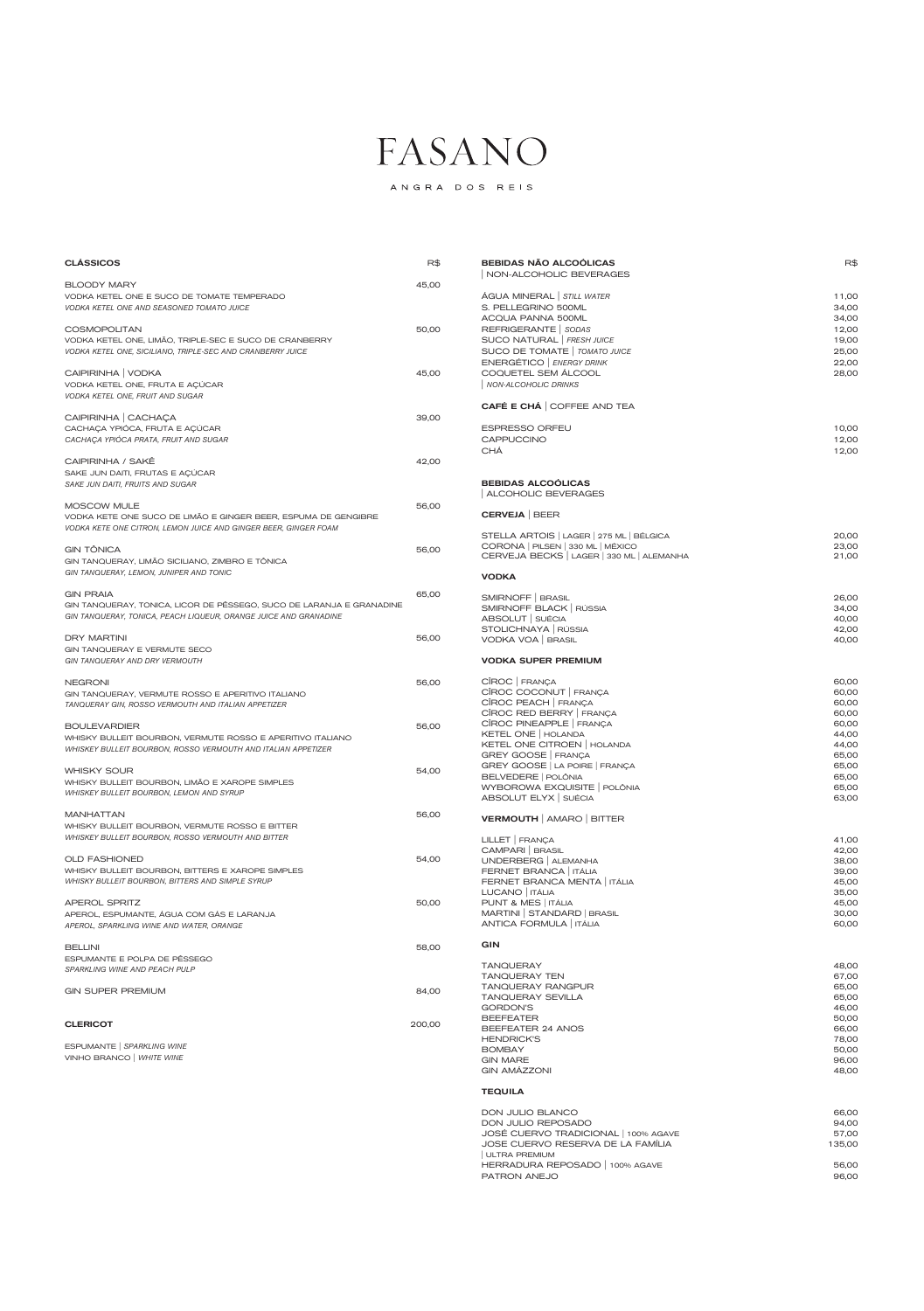ANGRA DOS REIS

| <b>CLÁSSICOS</b>                                                     | R\$   | <b>BEBIDAS NÃO ALCOÓLICAS</b><br>NON-ALCOHOLIC BEVERAGES | $R$ \$ |
|----------------------------------------------------------------------|-------|----------------------------------------------------------|--------|
| <b>BLOODY MARY</b>                                                   | 45,00 |                                                          |        |
| VODKA KETEL ONE E SUCO DE TOMATE TEMPERADO                           |       | ÁGUA MINERAL STILL WATER                                 | 11,00  |
| VODKA KETEL ONE AND SEASONED TOMATO JUICE                            |       | S. PELLEGRINO 500ML                                      | 34,00  |
|                                                                      |       | ACQUA PANNA 500ML                                        | 34,00  |
| <b>COSMOPOLITAN</b>                                                  | 50,00 | REFRIGERANTE   SODAS                                     | 12,00  |
| VODKA KETEL ONE, LIMÃO, TRIPLE-SEC E SUCO DE CRANBERRY               |       | SUCO NATURAL   FRESH JUICE                               | 19,00  |
| VODKA KETEL ONE, SICILIANO, TRIPLE-SEC AND CRANBERRY JUICE           |       | SUCO DE TOMATE   TOMATO JUICE                            | 25,00  |
|                                                                      |       | ENERGÉTICO   ENERGY DRINK                                | 22,00  |
|                                                                      |       | COQUETEL SEM ÁLCOOL                                      |        |
| CAIPIRINHA   VODKA                                                   | 45,00 |                                                          | 28,00  |
| VODKA KETEL ONE, FRUTA E AÇÚCAR                                      |       | <b>NON-ALCOHOLIC DRINKS</b>                              |        |
| VODKA KETEL ONE, FRUIT AND SUGAR                                     |       |                                                          |        |
|                                                                      |       | <b>CAFÉ E CHÁ   COFFEE AND TEA</b>                       |        |
| CAIPIRINHA   CACHAÇA                                                 | 39,00 |                                                          |        |
| CACHAÇA YPIÓCA, FRUTA E AÇÚCAR                                       |       | <b>ESPRESSO ORFEU</b>                                    | 10,00  |
| CACHAÇA YPIÓCA PRATA, FRUIT AND SUGAR                                |       | CAPPUCCINO                                               | 12,00  |
|                                                                      |       | <b>CHÁ</b>                                               | 12,00  |
| CAIPIRINHA / SAKÊ                                                    | 42,00 |                                                          |        |
| SAKE JUN DAITI, FRUTAS E AÇÚCAR                                      |       |                                                          |        |
| SAKE JUN DAITI, FRUITS AND SUGAR                                     |       | <b>BEBIDAS ALCOÓLICAS</b>                                |        |
|                                                                      |       | ALCOHOLIC BEVERAGES                                      |        |
| MOSCOW MULE                                                          | 56,00 |                                                          |        |
| VODKA KETE ONE SUCO DE LIMÃO E GINGER BEER, ESPUMA DE GENGIBRE       |       | <b>CERVEJA   BEER</b>                                    |        |
| VODKA KETE ONE CITRON, LEMON JUICE AND GINGER BEER, GINGER FOAM      |       |                                                          |        |
|                                                                      |       | STELLA ARTOIS   LAGER   275 ML   BÉLGICA                 | 20,00  |
| <b>GIN TÔNICA</b>                                                    | 56,00 | CORONA   PILSEN   330 ML   MÉXICO                        | 23,00  |
| GIN TANQUERAY, LIMÃO SICILIANO, ZIMBRO E TÔNICA                      |       | CERVEJA BECKS   LAGER   330 ML   ALEMANHA                | 21,00  |
| GIN TANQUERAY, LEMON, JUNIPER AND TONIC                              |       |                                                          |        |
|                                                                      |       | <b>VODKA</b>                                             |        |
|                                                                      |       |                                                          |        |
| <b>GIN PRAIA</b>                                                     | 65,00 | SMIRNOFF   BRASIL                                        | 26,00  |
| GIN TANQUERAY, TONICA, LICOR DE PÉSSEGO, SUCO DE LARANJA E GRANADINE |       | SMIRNOFF BLACK   RÚSSIA                                  | 34,00  |
| GIN TANQUERAY, TONICA, PEACH LIQUEUR, ORANGE JUICE AND GRANADINE     |       | ABSOLUT SUÉCIA                                           | 40,00  |
|                                                                      |       | STOLICHNAYA   RÚSSIA                                     | 42,00  |
| <b>DRY MARTINI</b>                                                   | 56,00 | VODKA VOA   BRASIL                                       | 40,00  |
| GIN TANQUERAY E VERMUTE SECO                                         |       |                                                          |        |
| GIN TANQUERAY AND DRY VERMOUTH                                       |       | <b>VODKA SUPER PREMIUM</b>                               |        |
|                                                                      |       |                                                          |        |
| <b>NEGRONI</b>                                                       | 56,00 | CÎROC FRANÇA                                             | 60,00  |
| GIN TANQUERAY, VERMUTE ROSSO E APERITIVO ITALIANO                    |       | CÎROC COCONUT FRANÇA                                     | 60,00  |
| TANQUERAY GIN, ROSSO VERMOUTH AND ITALIAN APPETIZER                  |       | CÎROC PEACH   FRANÇA                                     | 60,00  |
|                                                                      |       | CÎROC RED BERRY FRANÇA                                   | 60,00  |
| <b>BOULEVARDIER</b>                                                  | 56,00 | CÎROC PINEAPPLE   FRANÇA                                 | 60,00  |
| WHISKY BULLEIT BOURBON, VERMUTE ROSSO E APERITIVO ITALIANO           |       | KETEL ONE   HOLANDA                                      | 44,00  |
| WHISKEY BULLEIT BOURBON, ROSSO VERMOUTH AND ITALIAN APPETIZER        |       | KETEL ONE CITROEN   HOLANDA                              | 44,00  |
|                                                                      |       | GREY GOOSE   FRANÇA                                      | 65,00  |
| <b>WHISKY SOUR</b>                                                   | 54,00 | GREY GOOSE   LA POIRE   FRANÇA                           | 65,00  |
| WHISKY BULLEIT BOURBON, LIMÃO E XAROPE SIMPLES                       |       | BELVEDERE   POLÔNIA                                      | 65,00  |
|                                                                      |       | WYBOROWA EXQUISITE   POLÔNIA                             | 65,00  |
| WHISKEY BULLEIT BOURBON, LEMON AND SYRUP                             |       | ABSOLUT ELYX SUÉCIA                                      | 63,00  |
|                                                                      |       |                                                          |        |
| <b>MANHATTAN</b>                                                     | 56,00 | <b>VERMOUTH   AMARO   BITTER</b>                         |        |
| WHISKY BULLEIT BOURBON, VERMUTE ROSSO E BITTER                       |       |                                                          |        |
| WHISKEY BULLEIT BOURBON, ROSSO VERMOUTH AND BITTER                   |       | LILLET   FRANÇA                                          | 41,00  |
|                                                                      |       | CAMPARI   BRASIL                                         | 42,00  |
| <b>OLD FASHIONED</b>                                                 | 54,00 | UNDERBERG   ALEMANHA                                     | 38,00  |
| WHISKY BULLEIT BOURBON, BITTERS E XAROPE SIMPLES                     |       | FERNET BRANCA   ITÁLIA                                   | 39,00  |
| WHISKY BULLEIT BOURBON, BITTERS AND SIMPLE SYRUP                     |       | FERNET BRANCA MENTA   ITÁLIA                             | 45,00  |
|                                                                      |       | LUCANO   ITÁLIA                                          | 35,00  |
| <b>APEROL SPRITZ</b>                                                 | 50,00 | PUNT & MES   ITÁLIA                                      | 45,00  |
| APEROL, ESPUMANTE, ÁGUA COM GÁS E LARANJA                            |       | MARTINI STANDARD   BRASIL                                | 30,00  |
| APEROL, SPARKLING WINE AND WATER, ORANGE                             |       | ANTICA FORMULA   ITÁLIA                                  | 60,00  |

| <b>BELLINI</b>                                                | 58,00  | <b>GIN</b>                                           |                |
|---------------------------------------------------------------|--------|------------------------------------------------------|----------------|
| ESPUMANTE E POLPA DE PÊSSEGO<br>SPARKLING WINE AND PEACH PULP |        | <b>TANQUERAY</b><br><b>TANQUERAY TEN</b>             | 48,00<br>67,00 |
| <b>GIN SUPER PREMIUM</b>                                      | 84,00  | <b>TANQUERAY RANGPUR</b><br><b>TANQUERAY SEVILLA</b> | 65,00<br>65,00 |
|                                                               |        | <b>GORDON'S</b><br><b>BEEFEATER</b>                  | 46,00<br>50,00 |
| <b>CLERICOT</b>                                               | 200,00 | BEEFEATER 24 ANOS                                    | 66,00          |
| ESPUMANTE   SPARKLING WINE<br>VINHO BRANCO   WHITE WINE       |        | <b>HENDRICK'S</b><br><b>BOMBAY</b>                   | 78,00<br>50,00 |
|                                                               |        | <b>GIN MARE</b><br>GIN AMÁZZONI                      | 96,00<br>48,00 |
|                                                               |        | <b>TEQUILA</b>                                       |                |
|                                                               |        | <b>DON JULIO BLANCO</b>                              | 66,00          |
|                                                               |        | DON JULIO REPOSADO                                   | 94,00          |
|                                                               |        | JOSÉ CUERVO TRADICIONAL   100% AGAVE                 | 57,00          |

| ULTRA PREMIUM

JOSE CUERVO RESERVA DE LA FAMÍLIA 135,00

HERRADURA REPOSADO | 100% AGAVE 56,00 PATRON ANEJO 86,00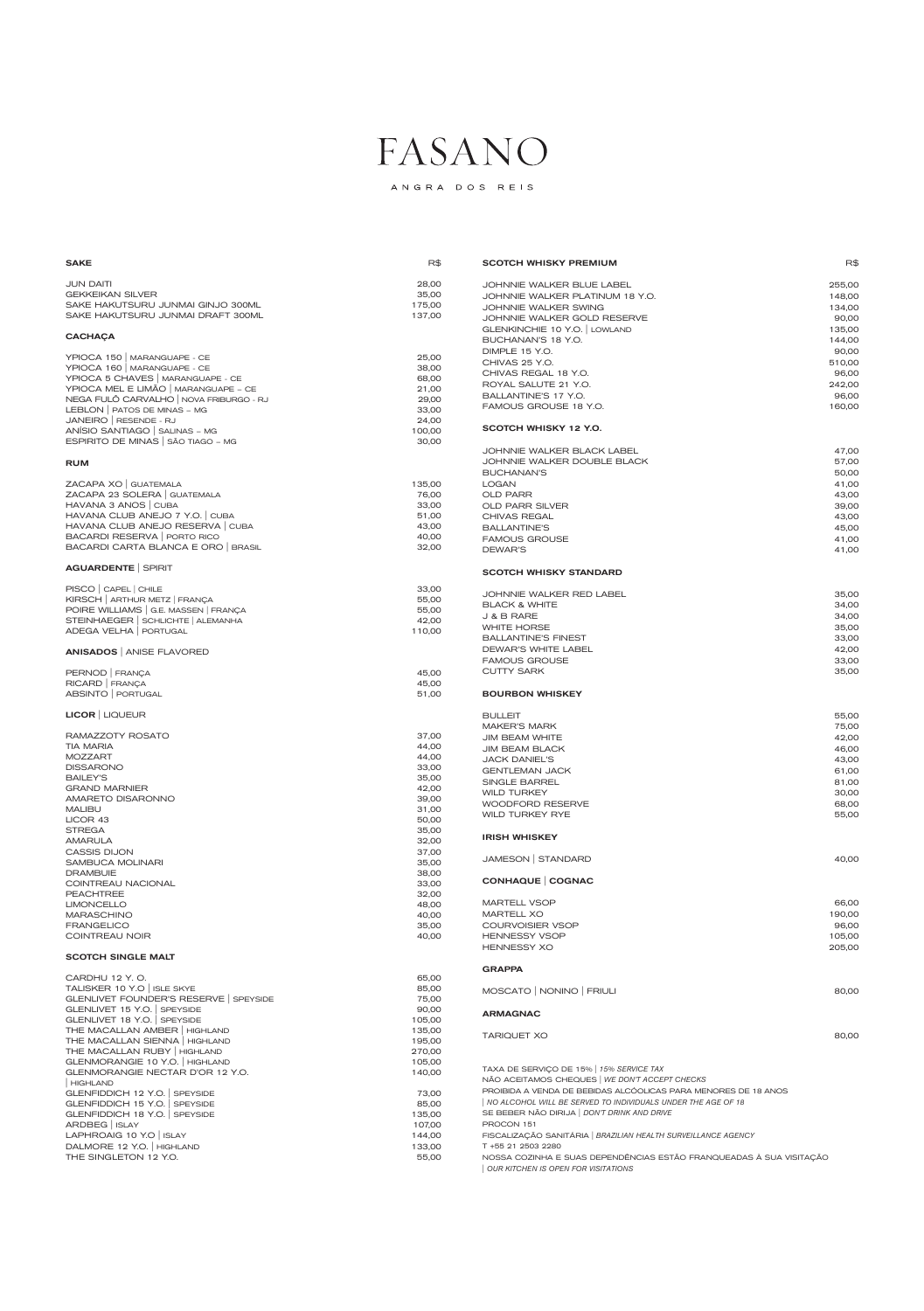ANGRA DOS REIS

#### $SAKE$  respectively. The contract of the contract of the contract of the contract of the contract of the contract of the contract of the contract of the contract of the contract of the contract of the contract of the contra JUN DAITI 28,00 GEKKEIKAN SILVER 35,00 SAKE HAKUTSURU JUNMAI GINJO 300ML 175,00 SAKE HAKUTSURU JUNMAI DRAFT 300ML 137,00 **CACHAÇA** YPIOCA 150 | MARANGUAPE - CE 25,00 YPIOCA 160 | MARANGUAPE - CE 38,00 YPIOCA 5 CHAVES | MARANGUAPE - CE 68,00 YPIOCA MEL E LIMÃO | MARANGUAPE – CE 21,00 NEGA FULÔ CARVALHO | NOVA FRIBURGO - RJ 29,00 LEBLON | PATOS DE MINAS – MG JANEIRO | RESENDE - RJ 24,00 ANÍSIO SANTIAGO | SALINAS – MG 100,00 ESPIRITO DE MINAS | SÃO TIAGO – MG 30,00 RUM ZACAPA XO | GUATEMALA 135,00 ZACAPA 23 SOLERA | GUATEMALA 76,00 HAVANA 3 ANOS | CUBA 33,00 HAVANA CLUB ANEJO 7 Y.O. | CUBA 51,00 HAVANA CLUB ANEJO RESERVA | CUBA 43,00 BACARDI RESERVA | PORTO RICO **1999 | PORTO RICO** 40,00 BACARDI CARTA BLANCA E ORO | BRASIL 32,00 AGUARDENTE | SPIRIT PISCO | CAPEL | CHILE 33,00 KIRSCH | ARTHUR METZ | FRANÇA **55,000** POIRE WILLIAMS | G.E. MASSEN | FRANÇA 55,00 STEINHAEGER | SCHLICHTE | ALEMANHA 42,00 ADEGA VELHA PORTUGAL 110,00 ANISADOS | ANISE FLAVORED PERNOD | FRANÇA 45,00 RICARD | FRANÇA 45,00 ABSINTO | PORTUGAL 61,000 ENGLES | ST.000 ENGLES | ST.000 ENGLES | ST.000 ENGLES | ST.000 ENGLES | ST.000 ENGLES | ST.000 ENGLES | ST.000 ENGLES | ST.000 ENGLES | ST.000 ENGLES | ST.000 ENGLES | ST.000 ENGLES | ST.000 ENGL LICOR | LIQUEUR RAMAZZOTY ROSATO 37,00 TIA MARIA 44,00 MOZZART 44,00 DISSARONO 33,00 BAILEY'S 35,00 GRAND MARNIER 42,00 AMARETO DISARONNO 39,000 MALIBU 31,00 LICOR 43 50,00 STREGA 35,00 AMARULA 32,00 CASSIS DIJON 37,00 SAMBUCA MOLINARI 25,000 DRAMBUIE 38,00 COINTREAU NACIONAL 33,00 PEACHTREE 32,00 LIMONCELLO 48,00 MARASCHINO 40,00 FRANGELICO 35,00 COINTREAU NOIR 40,00 SCOTCH WHISKY PREMIUM **Research SCOTCH WHISKY PREMIUM** JOHNNIE WALKER BLUE LABEL 255,00 JOHNNIE WALKER PLATINUM 18 Y.O. 148,00 JOHNNIE WALKER SWING 134,00 JOHNNIE WALKER GOLD RESERVE **1999** 100 MHz 90,00 GLENKINCHIE 10 Y.O. | LOWLAND 135,00 BUCHANAN'S 18 Y.O. 144,00 DIMPLE 15 Y.O. 90,00 CHIVAS 25 Y.O. 510,00 CHIVAS REGAL 18 Y.O. 96,00 ROYAL SALUTE 21 Y.O. 242,00 BALLANTINE'S 17 Y.O. 96,00 FAMOUS GROUSE 18 Y.O. 160,000 160,000 SCOTCH WHISKY 12 Y.O. JOHNNIE WALKER BLACK LABEL 47,00 JOHNNIE WALKER DOUBLE BLACK 57,00 BUCHANAN'S 50,00 LOGAN 41,00 OLD PARR 43,00 OLD PARR SILVER 39,00 CHIVAS REGAL 23,00 BALLANTINE'S 45,00 FAMOUS GROUSE 41,00 DEWAR'S 41,00 SCOTCH WHISKY STANDARD JOHNNIE WALKER RED LABEL 35,00 BLACK & WHITE 34,00  $J & B$  RARE 34,00 WHITE HORSE 35,00 BALLANTINE'S FINEST **33,00** DEWAR'S WHITE LABEL **AND SERVICE SERVICE SERVICE SERVICE SERVICE SERVICE SERVICE SERVICE SERVICE SERVICE SERVICE SERVICE SERVICE SERVICE SERVICE SERVICE SERVICE SERVICE SERVICE SERVICE SERVICE SERVICE SERVICE SERVICE SERVI** FAMOUS GROUSE 33,00 CUTTY SARK 35,00 BOURBON WHISKEY BULLEIT 55,00 MAKER'S MARK 75,000 JIM BEAM WHITE 42,00 JIM BEAM BLACK 46,00 JACK DANIEL'S 43,00 GENTLEMAN JACK 61,00 SINGLE BARREL 81,00 WILD TURKEY 30,000 WOODFORD RESERVE **68,00** WILD TURKEY RYE 55,00 IRISH WHISKEY JAMESON | STANDARD 40,00 CONHAQUE | COGNAC MARTELL VSOP 66,00 MARTELL XO 190,00 COURVOISIER VSOP **96,00** HENNESSY VSOP **105,000**

#### SCOTCH SINGLE MALT

| CARDHU 12 Y.O.                       | 65,00  |
|--------------------------------------|--------|
| TALISKER 10 Y.O   ISLE SKYE          | 85,00  |
| GLENLIVET FOUNDER'S RESERVE SPEYSIDE | 75,00  |
| GLENLIVET 15 Y.O. SPEYSIDE           | 90,00  |
| GLENLIVET 18 Y.O. SPEYSIDE           | 105,00 |
| THE MACALLAN AMBER   HIGHLAND        | 135,00 |
| THE MACALLAN SIENNA   HIGHLAND       | 195,00 |
| THE MACALLAN RUBY   HIGHLAND         | 270,00 |
| GLENMORANGIE 10 Y.O.   HIGHLAND      | 105,00 |
| GLENMORANGIE NECTAR D'OR 12 Y.O.     | 140,00 |
| HIGHLAND                             |        |
| GLENFIDDICH 12 Y.O. SPEYSIDE         | 73,00  |
| GLENFIDDICH 15 Y.O. SPEYSIDE         | 85,00  |
| GLENFIDDICH 18 Y.O.   SPEYSIDE       | 135,00 |
| ARDBEG   ISLAY                       | 107,00 |
| LAPHROAIG 10 Y.O   ISLAY             | 144,00 |
| DALMORE 12 Y.O.   HIGHLAND           | 133,00 |
| THE SINGLETON 12 Y.O.                | 55,00  |
|                                      |        |

| HENNESSY XO | 205.00 |
|-------------|--------|
|             |        |

| GRAPPA |
|--------|
|--------|

| MOSCATO   NONINO   FRIULI | 80,00 |
|---------------------------|-------|
|                           |       |

#### ARMAGNAC

TARIQUET XO 80,00

TAXA DE SERVIÇO DE 15% | *15% SERVICE TAX*

NÃO ACEITAMOS CHEQUES | *WE DON'T ACCEPT CHECKS* PROIBIDA A VENDA DE BEBIDAS ALCÓOLICAS PARA MENORES DE 18 ANOS | *NO ALCOHOL WILL BE SERVED TO INDIVIDUALS UNDER THE AGE OF 18* SE BEBER NÃO DIRIJA | *DON'T DRINK AND DRIVE*

PROCON 151

FISCALIZAÇÃO SANITÁRIA | *BRAZILIAN HEALTH SURVEILLANCE AGENCY*

T +55 21 2503 2280

NOSSA COZINHA E SUAS DEPENDÊNCIAS ESTÃO FRANQUEADAS À SUA VISITAÇÃO | *OUR KITCHEN IS OPEN FOR VISITATIONS*